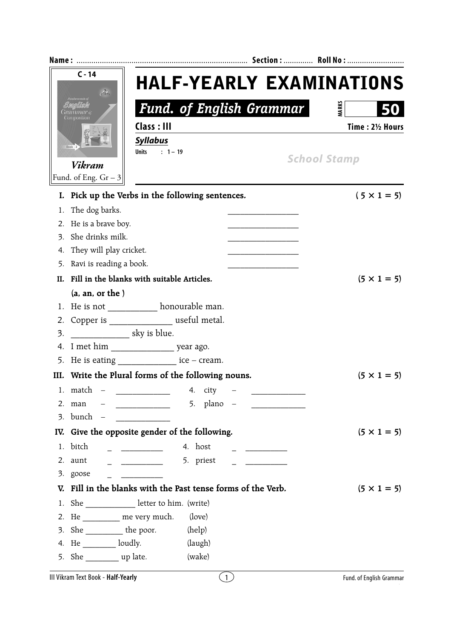| $C - 14$<br>$\mathcal{A}_\mathcal{F}$<br>Composition<br>$Book - 3$<br><b>Vikram</b> |                                                             | <b>HALF-YEARLY EXAMINATIONS</b><br><b>Fund. of English Grammar</b><br>Class: III<br><b>Syllabus</b><br>$: 1 - 19$<br><b>Units</b>                                                                                                                                                                                                                                                                                                                                                      |                    |                                | <b>MARKS</b><br>50<br>Time: 21/2 Hours<br><b>School Stamp</b> |
|-------------------------------------------------------------------------------------|-------------------------------------------------------------|----------------------------------------------------------------------------------------------------------------------------------------------------------------------------------------------------------------------------------------------------------------------------------------------------------------------------------------------------------------------------------------------------------------------------------------------------------------------------------------|--------------------|--------------------------------|---------------------------------------------------------------|
|                                                                                     | Fund. of Eng. $Gr-3$                                        |                                                                                                                                                                                                                                                                                                                                                                                                                                                                                        |                    |                                |                                                               |
|                                                                                     | I. Pick up the Verbs in the following sentences.            |                                                                                                                                                                                                                                                                                                                                                                                                                                                                                        |                    |                                | $(5 \times 1 = 5)$                                            |
| 1.<br>2.                                                                            | The dog barks.<br>He is a brave boy.                        |                                                                                                                                                                                                                                                                                                                                                                                                                                                                                        |                    |                                |                                                               |
| 3.                                                                                  | She drinks milk.                                            |                                                                                                                                                                                                                                                                                                                                                                                                                                                                                        |                    |                                |                                                               |
| 4.                                                                                  | They will play cricket.                                     |                                                                                                                                                                                                                                                                                                                                                                                                                                                                                        |                    |                                |                                                               |
| 5.                                                                                  | Ravi is reading a book.                                     |                                                                                                                                                                                                                                                                                                                                                                                                                                                                                        |                    |                                |                                                               |
| H.                                                                                  | Fill in the blanks with suitable Articles.                  | $(5 \times 1 = 5)$                                                                                                                                                                                                                                                                                                                                                                                                                                                                     |                    |                                |                                                               |
|                                                                                     | (a, an, or the)                                             |                                                                                                                                                                                                                                                                                                                                                                                                                                                                                        |                    |                                |                                                               |
| 1.                                                                                  | He is not ____________ honourable man.                      |                                                                                                                                                                                                                                                                                                                                                                                                                                                                                        |                    |                                |                                                               |
| 2.                                                                                  | Copper is _________________ useful metal.                   |                                                                                                                                                                                                                                                                                                                                                                                                                                                                                        |                    |                                |                                                               |
| 3.                                                                                  | sky is blue.                                                |                                                                                                                                                                                                                                                                                                                                                                                                                                                                                        |                    |                                |                                                               |
| 4.                                                                                  |                                                             |                                                                                                                                                                                                                                                                                                                                                                                                                                                                                        |                    |                                |                                                               |
| 5.                                                                                  | He is eating $\frac{\ }{\ }$ = $\frac{\ }{\ }$ ice – cream. |                                                                                                                                                                                                                                                                                                                                                                                                                                                                                        |                    |                                |                                                               |
|                                                                                     | III. Write the Plural forms of the following nouns.         |                                                                                                                                                                                                                                                                                                                                                                                                                                                                                        | $(5 \times 1 = 5)$ |                                |                                                               |
|                                                                                     | 1. $match -$                                                |                                                                                                                                                                                                                                                                                                                                                                                                                                                                                        | 4. city            |                                |                                                               |
|                                                                                     | 2. man                                                      |                                                                                                                                                                                                                                                                                                                                                                                                                                                                                        | 5. plano $-$       | <u>_______________________</u> |                                                               |
|                                                                                     | $3.$ bunch $-$                                              |                                                                                                                                                                                                                                                                                                                                                                                                                                                                                        |                    |                                |                                                               |
|                                                                                     | IV. Give the opposite gender of the following.              |                                                                                                                                                                                                                                                                                                                                                                                                                                                                                        |                    |                                | $(5 \times 1 = 5)$                                            |
| 1.                                                                                  | bitch                                                       | $\begin{array}{c} \begin{array}{c} \begin{array}{c} \begin{array}{c} \end{array} \\ \end{array} \end{array} \end{array} \end{array}$                                                                                                                                                                                                                                                                                                                                                   | 4. host            |                                |                                                               |
| 2.                                                                                  | aunt                                                        | $\begin{array}{cccccccccc} \multicolumn{2}{c}{} & \multicolumn{2}{c}{} & \multicolumn{2}{c}{} & \multicolumn{2}{c}{} & \multicolumn{2}{c}{} & \multicolumn{2}{c}{} & \multicolumn{2}{c}{} & \multicolumn{2}{c}{} & \multicolumn{2}{c}{} & \multicolumn{2}{c}{} & \multicolumn{2}{c}{} & \multicolumn{2}{c}{} & \multicolumn{2}{c}{} & \multicolumn{2}{c}{} & \multicolumn{2}{c}{} & \multicolumn{2}{c}{} & \multicolumn{2}{c}{} & \multicolumn{2}{c}{} & \multicolumn{2}{c}{} & \mult$ | 5. priest          |                                |                                                               |
| 3.                                                                                  | goose                                                       | <u> 1999 - Johann John Stone</u>                                                                                                                                                                                                                                                                                                                                                                                                                                                       |                    |                                |                                                               |
| V.                                                                                  | Fill in the blanks with the Past tense forms of the Verb.   |                                                                                                                                                                                                                                                                                                                                                                                                                                                                                        | $(5 \times 1 = 5)$ |                                |                                                               |
| 1.                                                                                  | She ________________ letter to him. (write)                 |                                                                                                                                                                                                                                                                                                                                                                                                                                                                                        |                    |                                |                                                               |
| 2.                                                                                  | He __________ me very much.                                 |                                                                                                                                                                                                                                                                                                                                                                                                                                                                                        | (love)             |                                |                                                               |
| 3.                                                                                  | She ____________ the poor.                                  |                                                                                                                                                                                                                                                                                                                                                                                                                                                                                        | (help)             |                                |                                                               |
| 4.                                                                                  | He ___________ loudly.                                      |                                                                                                                                                                                                                                                                                                                                                                                                                                                                                        | (laugh)            |                                |                                                               |
|                                                                                     | 5. She ____________ up late.                                |                                                                                                                                                                                                                                                                                                                                                                                                                                                                                        | (wake)             |                                |                                                               |
|                                                                                     | III Vikram Text Book - Half-Yearly                          |                                                                                                                                                                                                                                                                                                                                                                                                                                                                                        | $\left(1\right)$   |                                | Fund. of English Grammar                                      |